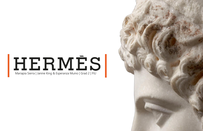# $\textbf{H}\mathbf{E}\mathbf{R}\textbf{M}\mathbf{E}\textbf{S}$

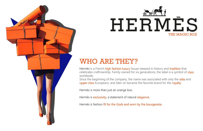

Hermès is a French high fashion luxury house steeped in history and tradition that celebrates craftmanship. Family-owned for six generations, the label is a symbol of class worldwide.

Since the beginning of the company, the name was associated with only the *elite* and upper class Europeans, and later on became the favorite brand for the royalty.

Hermès is more than just an orange box.

Hermès is exclusivity, a statement of natural elegance.

Hermès is fashion fit for the Gods and worn by the bourgeoisie.

### WHO ARE THEY?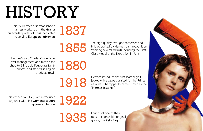## HISTORY

Thierry Hermès first established a<br>harness workshop in the Grands<br>evards quarter of Paris, dedicated harness workshop in the Grands Boulevards quarter of Paris, dedicated to serving European noblemen.

1880

Hermès's son, Charles-Emile, took over management and moved the shop to 24 rue du Faubourg Saint-Honore", and started selling his products retail. The high quality wrought harnesses and<br>bridles crafted by Hermès gain recognit<br>Winning several awards including the Fil bridles crafted by Hermès gain recognition. Winning several awards including the First Class Medal of the Exposition in Paris.

Launch of one of their<br>most recognizable orig<br>goods, the Kelly Bag. most recognizable original goods, the Kelly Bag.



1918

1922

Hermès introduce the first leather golf jacket with a zipper, crafted for the Prince of Wales. The zipper became known as the "Hermès fastener".

First leather handbags are introduced together with first women's couture apparel collection.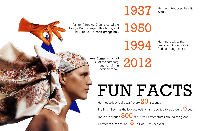1937

1950



Painter Alfred de Dreux created the logo, a Duc carriage with a horse, and they create the iconic orange box.

1994

FUN FACTS Hermès sells one silk scarf every  $20$  seconds. The Birkin Bag has the longest waiting list, reported to be around  $\bigcirc$  years. There are around  $300$  exclusive Hermès stores around the globe. Hermès makes around 5 billion Euros per year.

Axel Dumas, is named CEO of the company and remains in position today.

2012

Hermès receives the packaging Oscar for its folding orange boxes.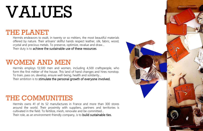## VALUES

### THE PLANET

Hermès endeavors to exalt, in twenty or so métiers, the most beautiful materials offered by nature. Their artisans' skillful hands respect leather, silk, fabric, wood, crystal and precious metals. To preserve, optimize, revalue and draw… Their duty is to achieve the sustainable use of these resources.

### WOMEN AND MEN

### THE COMMUNITIES

Hermès owns 41 of its 52 manufactures in France and more than 300 stores around the world. Their proximity with suppliers, partners and territories is cultivated in the field. To fertilize, mesh, renovate and be committed… Their role, as an environment-friendly company, is to build sustainable ties.



Hermès employs 13,500 men and women, including 4,500 craftspeople, who form the first métier of the house. This land of hand changes and hires nonstop. To train, pass on, develop, ensure well-being, health and solidarity… Their ambition is to stimulate the personal growth of everyone involved.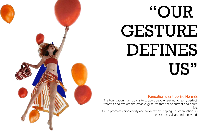## "OUR GESTURE DEFINES US"

Fondation d'entreprise Hermès



The Foundation main goal is to support people seeking to learn, perfect, transmit and explore the creative gestures that shape current and future live.

It also promotes biodiversity and solidarity by keeping up organisations in these areas all around the world.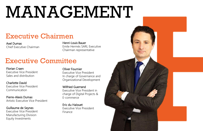## MANAGEMENT

### Executive Chairmen

### Executive Committee

Axel Dumas Chief Executive Chairman

Florian Craen Executive Vice President Sales and distribution

Charlotte David Executive Vice President Communication

Pierre-Alexis Dumas Artistic Executive Vice President

Guillaume de Seynes Executive Vice President Manufacturing Division Equity Investments

### Oliver Fournier

Executive Vice President In charge of Governance and Organizational Development

Wilfried Guerrand Executive Vice President in charge of Digital Projects & E-commerce

Eric du Halouet Executive Vice President Finance



Henri-Louis Bauer Emile Hermès SARL Executive Chairman representative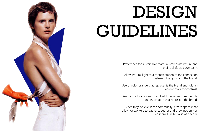

## DESIGN GUIDELINES

Preference for sustainable materials celebrate nature and their beliefs as a company.

Allow natural light as a representation of the connection between the gods and the brand.

Use of color orange that represents the brand and add an accent color for contrast.

Keep a traditional design and add the sense of modernity and innovation that represent the brand.

Since they believe in the community, create spaces that allow for workers to gather together and grow not only as an individual, but also as a team.